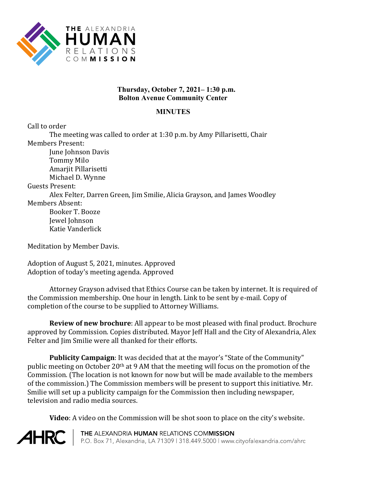

## **Thursday, October 7, 2021– 1:30 p.m. Bolton Avenue Community Center**

## **MINUTES**

Call to order

The meeting was called to order at 1:30 p.m. by Amy Pillarisetti, Chair Members Present: June Johnson Davis Tommy Milo Amarjit Pillarisetti Michael D. Wynne Guests Present: Alex Felter, Darren Green, Jim Smilie, Alicia Grayson, and James Woodley Members Absent: Booker T. Booze Jewel Johnson Katie Vanderlick

Meditation by Member Davis.

Adoption of August 5, 2021, minutes. Approved Adoption of today's meeting agenda. Approved

Attorney Grayson advised that Ethics Course can be taken by internet. It is required of the Commission membership. One hour in length. Link to be sent by e-mail. Copy of completion of the course to be supplied to Attorney Williams.

**Review of new brochure**: All appear to be most pleased with final product. Brochure approved by Commission. Copies distributed. Mayor Jeff Hall and the City of Alexandria, Alex Felter and Jim Smilie were all thanked for their efforts.

**Publicity Campaign**: It was decided that at the mayor's "State of the Community" public meeting on October 20th at 9 AM that the meeting will focus on the promotion of the Commission. (The location is not known for now but will be made available to the members of the commission.) The Commission members will be present to support this initiative. Mr. Smilie will set up a publicity campaign for the Commission then including newspaper, television and radio media sources.

**Video**: A video on the Commission will be shot soon to place on the city's website.

**AHRC** 

THE ALEXANDRIA HUMAN RELATIONS COMMISSION P.O. Box 71, Alexandria, LA 71309 | 318.449.5000 | www.cityofalexandria.com/ahrc